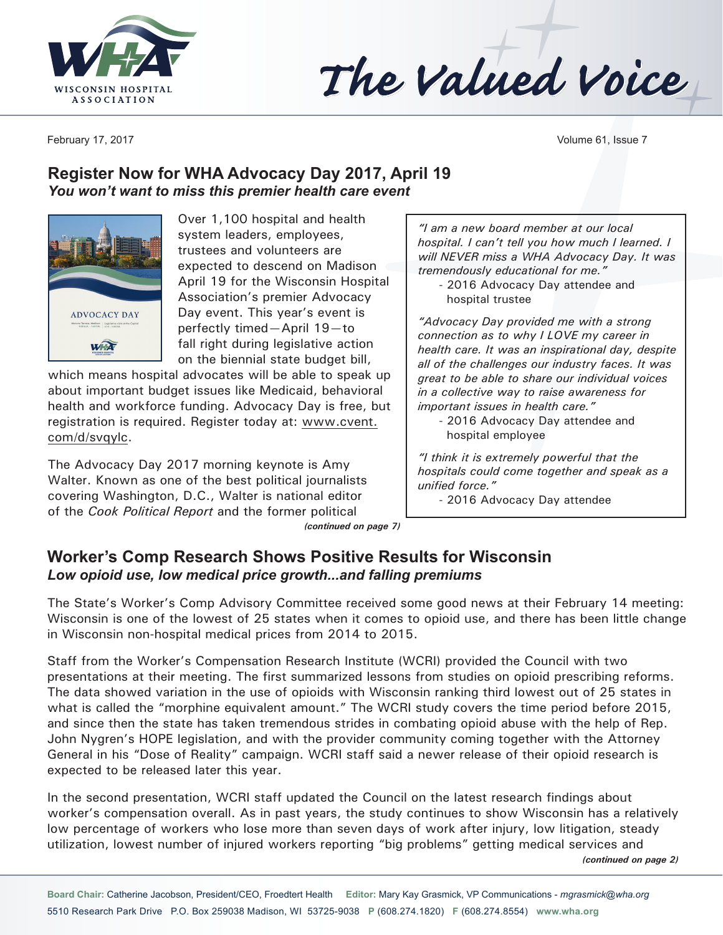



February 17, 2017 Volume 61, Issue 7

# **Register Now for WHA Advocacy Day 2017, April 19** *You won't want to miss this premier health care event*



Over 1,100 hospital and health system leaders, employees, trustees and volunteers are expected to descend on Madison April 19 for the Wisconsin Hospital Association's premier Advocacy Day event. This year's event is perfectly timed—April 19—to fall right during legislative action on the biennial state budget bill,

which means hospital advocates will be able to speak up about important budget issues like Medicaid, behavioral health and workforce funding. Advocacy Day is free, but registration is required. Register today at: www.cvent. com/d/svqylc.

The Advocacy Day 2017 morning keynote is Amy Walter. Known as one of the best political journalists covering Washington, D.C., Walter is national editor of the *Cook Political Report* and the former political *(continued on page 7)*

*"I am a new board member at our local hospital. I can't tell you how much I learned. I will NEVER miss a WHA Advocacy Day. It was tremendously educational for me."*

- 2016 Advocacy Day attendee and hospital trustee

*"Advocacy Day provided me with a strong connection as to why I LOVE my career in health care. It was an inspirational day, despite all of the challenges our industry faces. It was great to be able to share our individual voices in a collective way to raise awareness for important issues in health care."*

- 2016 Advocacy Day attendee and hospital employee

*"I think it is extremely powerful that the hospitals could come together and speak as a unified force."*

- 2016 Advocacy Day attendee

#### **Worker's Comp Research Shows Positive Results for Wisconsin** *Low opioid use, low medical price growth...and falling premiums*

The State's Worker's Comp Advisory Committee received some good news at their February 14 meeting: Wisconsin is one of the lowest of 25 states when it comes to opioid use, and there has been little change in Wisconsin non-hospital medical prices from 2014 to 2015.

Staff from the Worker's Compensation Research Institute (WCRI) provided the Council with two presentations at their meeting. The first summarized lessons from studies on opioid prescribing reforms. The data showed variation in the use of opioids with Wisconsin ranking third lowest out of 25 states in what is called the "morphine equivalent amount." The WCRI study covers the time period before 2015, and since then the state has taken tremendous strides in combating opioid abuse with the help of Rep. John Nygren's HOPE legislation, and with the provider community coming together with the Attorney General in his "Dose of Reality" campaign. WCRI staff said a newer release of their opioid research is expected to be released later this year.

In the second presentation, WCRI staff updated the Council on the latest research findings about worker's compensation overall. As in past years, the study continues to show Wisconsin has a relatively low percentage of workers who lose more than seven days of work after injury, low litigation, steady utilization, lowest number of injured workers reporting "big problems" getting medical services and

*(continued on page 2)*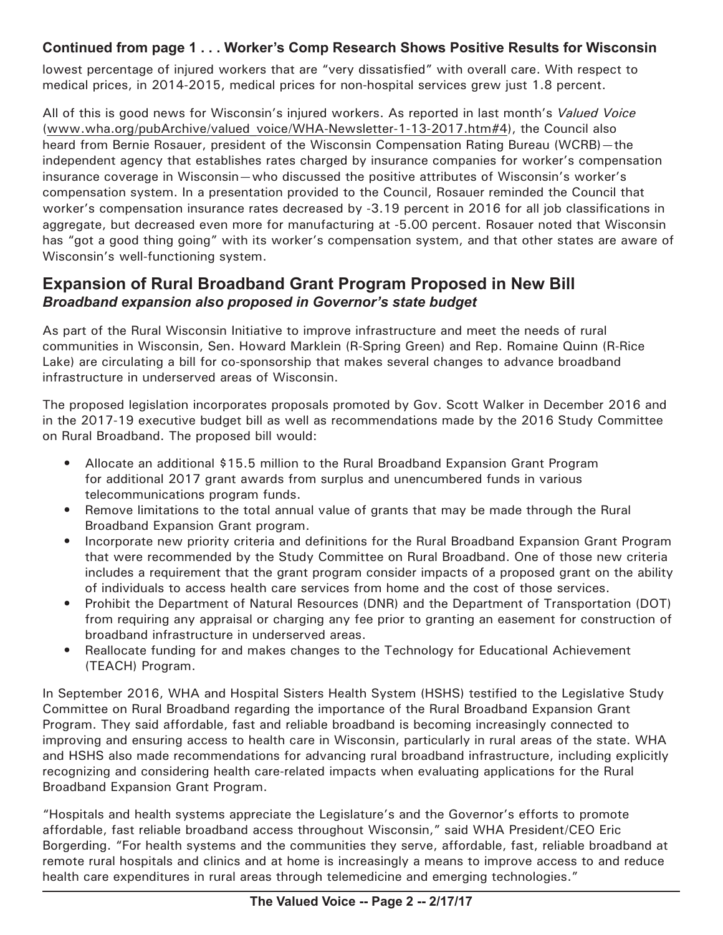#### **Continued from page 1 . . . Worker's Comp Research Shows Positive Results for Wisconsin**

lowest percentage of injured workers that are "very dissatisfied" with overall care. With respect to medical prices, in 2014-2015, medical prices for non-hospital services grew just 1.8 percent.

All of this is good news for Wisconsin's injured workers. As reported in last month's *Valued Voice* (www.wha.org/pubArchive/valued\_voice/WHA-Newsletter-1-13-2017.htm#4), the Council also heard from Bernie Rosauer, president of the Wisconsin Compensation Rating Bureau (WCRB)—the independent agency that establishes rates charged by insurance companies for worker's compensation insurance coverage in Wisconsin—who discussed the positive attributes of Wisconsin's worker's compensation system. In a presentation provided to the Council, Rosauer reminded the Council that worker's compensation insurance rates decreased by -3.19 percent in 2016 for all job classifications in aggregate, but decreased even more for manufacturing at -5.00 percent. Rosauer noted that Wisconsin has "got a good thing going" with its worker's compensation system, and that other states are aware of Wisconsin's well-functioning system.

### **Expansion of Rural Broadband Grant Program Proposed in New Bill** *Broadband expansion also proposed in Governor's state budget*

As part of the Rural Wisconsin Initiative to improve infrastructure and meet the needs of rural communities in Wisconsin, Sen. Howard Marklein (R-Spring Green) and Rep. Romaine Quinn (R-Rice Lake) are circulating a bill for co-sponsorship that makes several changes to advance broadband infrastructure in underserved areas of Wisconsin.

The proposed legislation incorporates proposals promoted by Gov. Scott Walker in December 2016 and in the 2017-19 executive budget bill as well as recommendations made by the 2016 Study Committee on Rural Broadband. The proposed bill would:

- Allocate an additional \$15.5 million to the Rural Broadband Expansion Grant Program for additional 2017 grant awards from surplus and unencumbered funds in various telecommunications program funds.
- Remove limitations to the total annual value of grants that may be made through the Rural Broadband Expansion Grant program.
- Incorporate new priority criteria and definitions for the Rural Broadband Expansion Grant Program that were recommended by the Study Committee on Rural Broadband. One of those new criteria includes a requirement that the grant program consider impacts of a proposed grant on the ability of individuals to access health care services from home and the cost of those services.
- Prohibit the Department of Natural Resources (DNR) and the Department of Transportation (DOT) from requiring any appraisal or charging any fee prior to granting an easement for construction of broadband infrastructure in underserved areas.
- Reallocate funding for and makes changes to the Technology for Educational Achievement (TEACH) Program.

In September 2016, WHA and Hospital Sisters Health System (HSHS) testified to the Legislative Study Committee on Rural Broadband regarding the importance of the Rural Broadband Expansion Grant Program. They said affordable, fast and reliable broadband is becoming increasingly connected to improving and ensuring access to health care in Wisconsin, particularly in rural areas of the state. WHA and HSHS also made recommendations for advancing rural broadband infrastructure, including explicitly recognizing and considering health care-related impacts when evaluating applications for the Rural Broadband Expansion Grant Program.

"Hospitals and health systems appreciate the Legislature's and the Governor's efforts to promote affordable, fast reliable broadband access throughout Wisconsin," said WHA President/CEO Eric Borgerding. "For health systems and the communities they serve, affordable, fast, reliable broadband at remote rural hospitals and clinics and at home is increasingly a means to improve access to and reduce health care expenditures in rural areas through telemedicine and emerging technologies."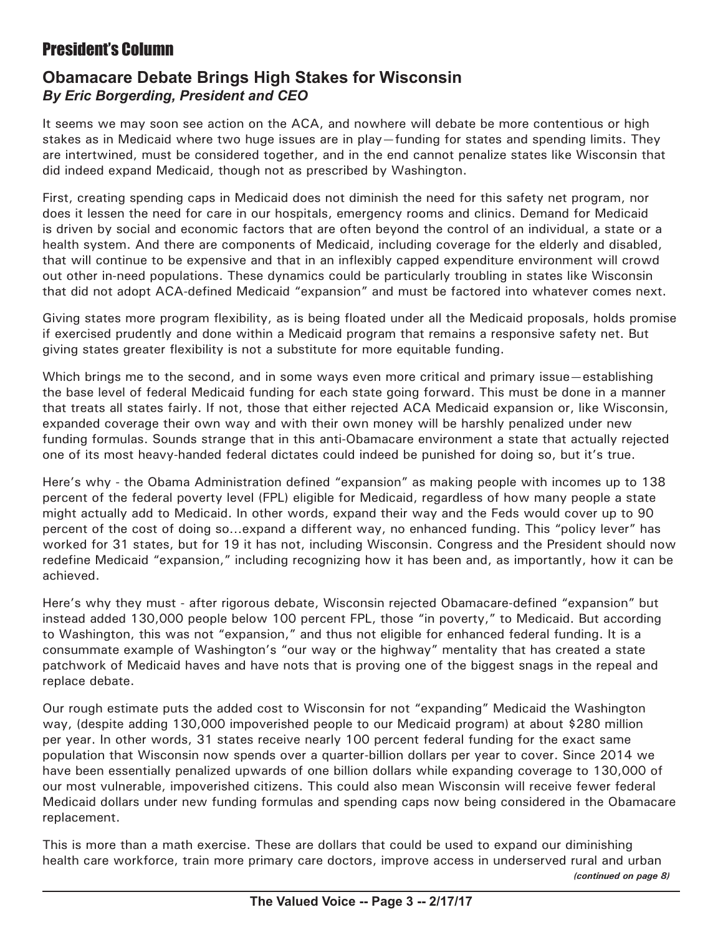# President's Column

## **Obamacare Debate Brings High Stakes for Wisconsin** *By Eric Borgerding, President and CEO*

It seems we may soon see action on the ACA, and nowhere will debate be more contentious or high stakes as in Medicaid where two huge issues are in play—funding for states and spending limits. They are intertwined, must be considered together, and in the end cannot penalize states like Wisconsin that did indeed expand Medicaid, though not as prescribed by Washington.

First, creating spending caps in Medicaid does not diminish the need for this safety net program, nor does it lessen the need for care in our hospitals, emergency rooms and clinics. Demand for Medicaid is driven by social and economic factors that are often beyond the control of an individual, a state or a health system. And there are components of Medicaid, including coverage for the elderly and disabled, that will continue to be expensive and that in an inflexibly capped expenditure environment will crowd out other in-need populations. These dynamics could be particularly troubling in states like Wisconsin that did not adopt ACA-defined Medicaid "expansion" and must be factored into whatever comes next.

Giving states more program flexibility, as is being floated under all the Medicaid proposals, holds promise if exercised prudently and done within a Medicaid program that remains a responsive safety net. But giving states greater flexibility is not a substitute for more equitable funding.

Which brings me to the second, and in some ways even more critical and primary issue—establishing the base level of federal Medicaid funding for each state going forward. This must be done in a manner that treats all states fairly. If not, those that either rejected ACA Medicaid expansion or, like Wisconsin, expanded coverage their own way and with their own money will be harshly penalized under new funding formulas. Sounds strange that in this anti-Obamacare environment a state that actually rejected one of its most heavy-handed federal dictates could indeed be punished for doing so, but it's true.

Here's why - the Obama Administration defined "expansion" as making people with incomes up to 138 percent of the federal poverty level (FPL) eligible for Medicaid, regardless of how many people a state might actually add to Medicaid. In other words, expand their way and the Feds would cover up to 90 percent of the cost of doing so…expand a different way, no enhanced funding. This "policy lever" has worked for 31 states, but for 19 it has not, including Wisconsin. Congress and the President should now redefine Medicaid "expansion," including recognizing how it has been and, as importantly, how it can be achieved.

Here's why they must - after rigorous debate, Wisconsin rejected Obamacare-defined "expansion" but instead added 130,000 people below 100 percent FPL, those "in poverty," to Medicaid. But according to Washington, this was not "expansion," and thus not eligible for enhanced federal funding. It is a consummate example of Washington's "our way or the highway" mentality that has created a state patchwork of Medicaid haves and have nots that is proving one of the biggest snags in the repeal and replace debate.

Our rough estimate puts the added cost to Wisconsin for not "expanding" Medicaid the Washington way, (despite adding 130,000 impoverished people to our Medicaid program) at about \$280 million per year. In other words, 31 states receive nearly 100 percent federal funding for the exact same population that Wisconsin now spends over a quarter-billion dollars per year to cover. Since 2014 we have been essentially penalized upwards of one billion dollars while expanding coverage to 130,000 of our most vulnerable, impoverished citizens. This could also mean Wisconsin will receive fewer federal Medicaid dollars under new funding formulas and spending caps now being considered in the Obamacare replacement.

This is more than a math exercise. These are dollars that could be used to expand our diminishing health care workforce, train more primary care doctors, improve access in underserved rural and urban *(continued on page 8)*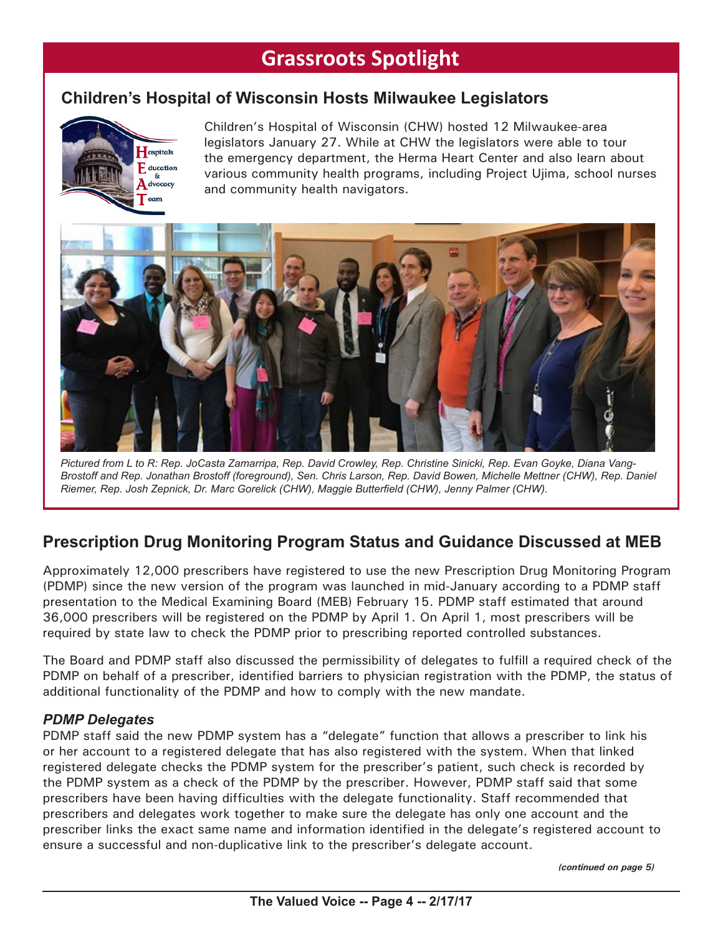# **Grassroots Spotlight**

# **Children's Hospital of Wisconsin Hosts Milwaukee Legislators**



Children's Hospital of Wisconsin (CHW) hosted 12 Milwaukee-area legislators January 27. While at CHW the legislators were able to tour the emergency department, the Herma Heart Center and also learn about various community health programs, including Project Ujima, school nurses and community health navigators.



*Pictured from L to R: Rep. JoCasta Zamarripa, Rep. David Crowley, Rep. Christine Sinicki, Rep. Evan Goyke, Diana Vang-Brostoff and Rep. Jonathan Brostoff (foreground), Sen. Chris Larson, Rep. David Bowen, Michelle Mettner (CHW), Rep. Daniel Riemer, Rep. Josh Zepnick, Dr. Marc Gorelick (CHW), Maggie Butterfield (CHW), Jenny Palmer (CHW).*

# **Prescription Drug Monitoring Program Status and Guidance Discussed at MEB**

Approximately 12,000 prescribers have registered to use the new Prescription Drug Monitoring Program (PDMP) since the new version of the program was launched in mid-January according to a PDMP staff presentation to the Medical Examining Board (MEB) February 15. PDMP staff estimated that around 36,000 prescribers will be registered on the PDMP by April 1. On April 1, most prescribers will be required by state law to check the PDMP prior to prescribing reported controlled substances.

The Board and PDMP staff also discussed the permissibility of delegates to fulfill a required check of the PDMP on behalf of a prescriber, identified barriers to physician registration with the PDMP, the status of additional functionality of the PDMP and how to comply with the new mandate.

### *PDMP Delegates*

PDMP staff said the new PDMP system has a "delegate" function that allows a prescriber to link his or her account to a registered delegate that has also registered with the system. When that linked registered delegate checks the PDMP system for the prescriber's patient, such check is recorded by the PDMP system as a check of the PDMP by the prescriber. However, PDMP staff said that some prescribers have been having difficulties with the delegate functionality. Staff recommended that prescribers and delegates work together to make sure the delegate has only one account and the prescriber links the exact same name and information identified in the delegate's registered account to ensure a successful and non-duplicative link to the prescriber's delegate account.

*(continued on page 5)*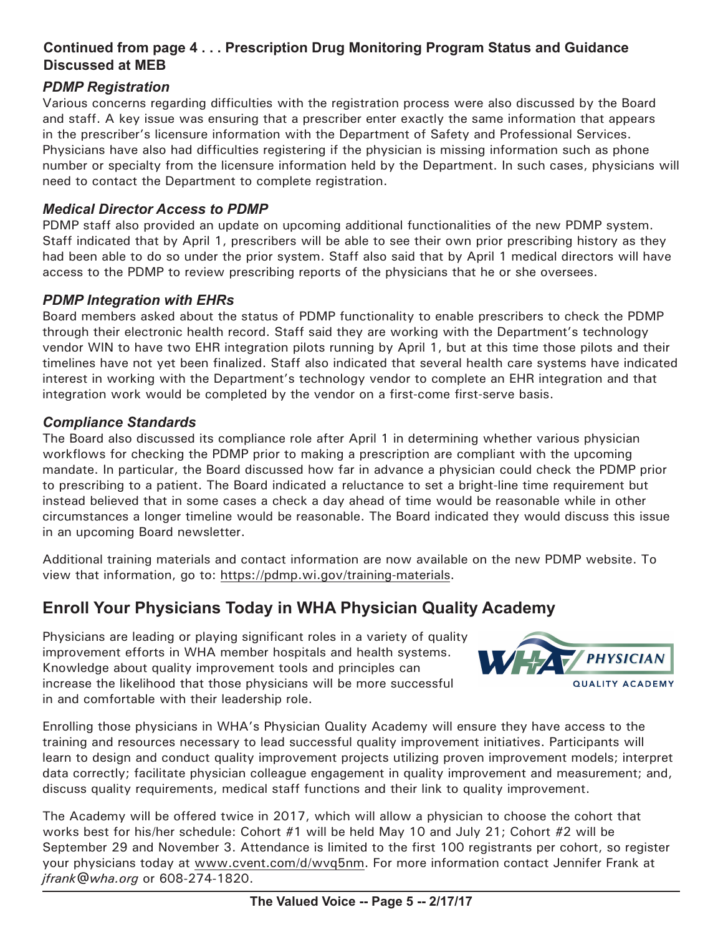### **Continued from page 4 . . . Prescription Drug Monitoring Program Status and Guidance Discussed at MEB**

#### *PDMP Registration*

Various concerns regarding difficulties with the registration process were also discussed by the Board and staff. A key issue was ensuring that a prescriber enter exactly the same information that appears in the prescriber's licensure information with the Department of Safety and Professional Services. Physicians have also had difficulties registering if the physician is missing information such as phone number or specialty from the licensure information held by the Department. In such cases, physicians will need to contact the Department to complete registration.

#### *Medical Director Access to PDMP*

PDMP staff also provided an update on upcoming additional functionalities of the new PDMP system. Staff indicated that by April 1, prescribers will be able to see their own prior prescribing history as they had been able to do so under the prior system. Staff also said that by April 1 medical directors will have access to the PDMP to review prescribing reports of the physicians that he or she oversees.

#### *PDMP Integration with EHRs*

Board members asked about the status of PDMP functionality to enable prescribers to check the PDMP through their electronic health record. Staff said they are working with the Department's technology vendor WIN to have two EHR integration pilots running by April 1, but at this time those pilots and their timelines have not yet been finalized. Staff also indicated that several health care systems have indicated interest in working with the Department's technology vendor to complete an EHR integration and that integration work would be completed by the vendor on a first-come first-serve basis.

#### *Compliance Standards*

The Board also discussed its compliance role after April 1 in determining whether various physician workflows for checking the PDMP prior to making a prescription are compliant with the upcoming mandate. In particular, the Board discussed how far in advance a physician could check the PDMP prior to prescribing to a patient. The Board indicated a reluctance to set a bright-line time requirement but instead believed that in some cases a check a day ahead of time would be reasonable while in other circumstances a longer timeline would be reasonable. The Board indicated they would discuss this issue in an upcoming Board newsletter.

Additional training materials and contact information are now available on the new PDMP website. To view that information, go to: https://pdmp.wi.gov/training-materials.

# **Enroll Your Physicians Today in WHA Physician Quality Academy**

Physicians are leading or playing significant roles in a variety of quality improvement efforts in WHA member hospitals and health systems. Knowledge about quality improvement tools and principles can increase the likelihood that those physicians will be more successful in and comfortable with their leadership role.



Enrolling those physicians in WHA's Physician Quality Academy will ensure they have access to the training and resources necessary to lead successful quality improvement initiatives. Participants will learn to design and conduct quality improvement projects utilizing proven improvement models; interpret data correctly; facilitate physician colleague engagement in quality improvement and measurement; and, discuss quality requirements, medical staff functions and their link to quality improvement.

The Academy will be offered twice in 2017, which will allow a physician to choose the cohort that works best for his/her schedule: Cohort #1 will be held May 10 and July 21; Cohort #2 will be September 29 and November 3. Attendance is limited to the first 100 registrants per cohort, so register your physicians today at www.cvent.com/d/wvq5nm. For more information contact Jennifer Frank at *jfrank@wha.org* or 608-274-1820.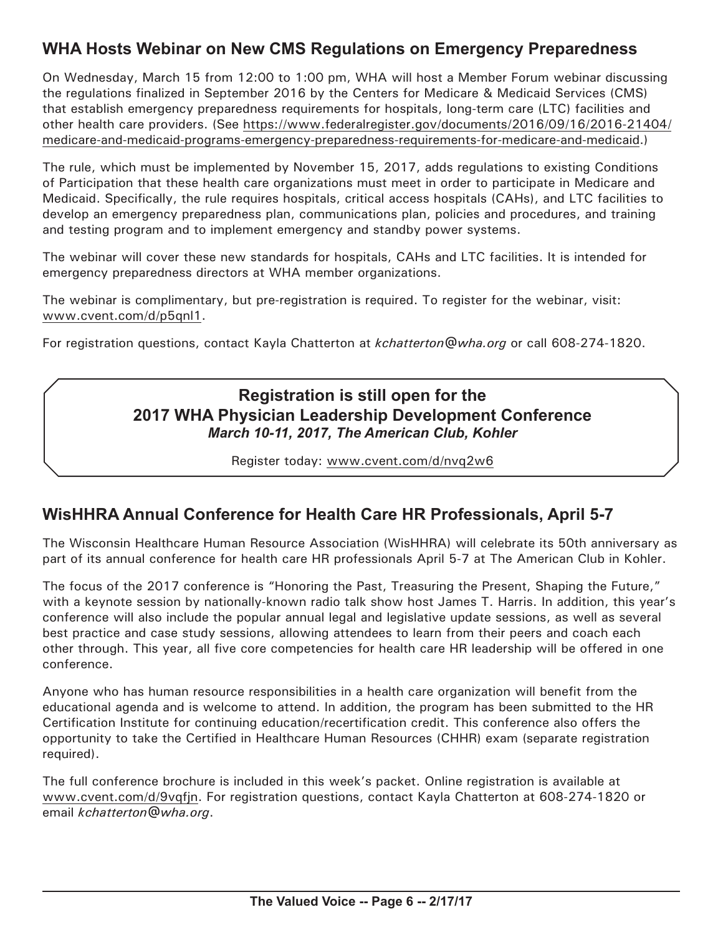# **WHA Hosts Webinar on New CMS Regulations on Emergency Preparedness**

On Wednesday, March 15 from 12:00 to 1:00 pm, WHA will host a Member Forum webinar discussing the regulations finalized in September 2016 by the Centers for Medicare & Medicaid Services (CMS) that establish emergency preparedness requirements for hospitals, long-term care (LTC) facilities and other health care providers. (See https://www.federalregister.gov/documents/2016/09/16/2016-21404/ medicare-and-medicaid-programs-emergency-preparedness-requirements-for-medicare-and-medicaid.)

The rule, which must be implemented by November 15, 2017, adds regulations to existing Conditions of Participation that these health care organizations must meet in order to participate in Medicare and Medicaid. Specifically, the rule requires hospitals, critical access hospitals (CAHs), and LTC facilities to develop an emergency preparedness plan, communications plan, policies and procedures, and training and testing program and to implement emergency and standby power systems.

The webinar will cover these new standards for hospitals, CAHs and LTC facilities. It is intended for emergency preparedness directors at WHA member organizations.

The webinar is complimentary, but pre-registration is required. To register for the webinar, visit: www.cvent.com/d/p5qnl1.

For registration questions, contact Kayla Chatterton at *kchatterton@wha.org* or call 608-274-1820.

### **Registration is still open for the 2017 WHA Physician Leadership Development Conference** *March 10-11, 2017, The American Club, Kohler*

Register today: www.cvent.com/d/nvq2w6

# **WisHHRA Annual Conference for Health Care HR Professionals, April 5-7**

The Wisconsin Healthcare Human Resource Association (WisHHRA) will celebrate its 50th anniversary as part of its annual conference for health care HR professionals April 5-7 at The American Club in Kohler.

The focus of the 2017 conference is "Honoring the Past, Treasuring the Present, Shaping the Future," with a keynote session by nationally-known radio talk show host James T. Harris. In addition, this year's conference will also include the popular annual legal and legislative update sessions, as well as several best practice and case study sessions, allowing attendees to learn from their peers and coach each other through. This year, all five core competencies for health care HR leadership will be offered in one conference.

Anyone who has human resource responsibilities in a health care organization will benefit from the educational agenda and is welcome to attend. In addition, the program has been submitted to the HR Certification Institute for continuing education/recertification credit. This conference also offers the opportunity to take the Certified in Healthcare Human Resources (CHHR) exam (separate registration required).

The full conference brochure is included in this week's packet. Online registration is available at www.cvent.com/d/9vqfjn. For registration questions, contact Kayla Chatterton at 608-274-1820 or email *kchatterton@wha.org*.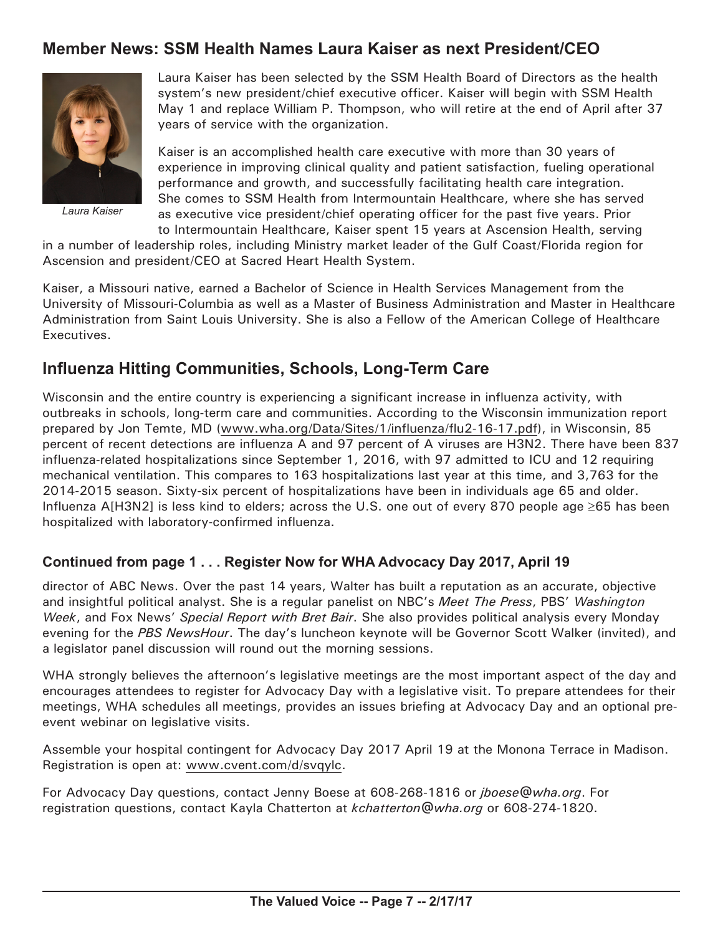# **Member News: SSM Health Names Laura Kaiser as next President/CEO**



*Laura Kaiser*

Laura Kaiser has been selected by the SSM Health Board of Directors as the health system's new president/chief executive officer. Kaiser will begin with SSM Health May 1 and replace William P. Thompson, who will retire at the end of April after 37 years of service with the organization.

Kaiser is an accomplished health care executive with more than 30 years of experience in improving clinical quality and patient satisfaction, fueling operational performance and growth, and successfully facilitating health care integration. She comes to SSM Health from Intermountain Healthcare, where she has served as executive vice president/chief operating officer for the past five years. Prior to Intermountain Healthcare, Kaiser spent 15 years at Ascension Health, serving

in a number of leadership roles, including Ministry market leader of the Gulf Coast/Florida region for Ascension and president/CEO at Sacred Heart Health System.

Kaiser, a Missouri native, earned a Bachelor of Science in Health Services Management from the University of Missouri-Columbia as well as a Master of Business Administration and Master in Healthcare Administration from Saint Louis University. She is also a Fellow of the American College of Healthcare Executives.

## **Influenza Hitting Communities, Schools, Long-Term Care**

Wisconsin and the entire country is experiencing a significant increase in influenza activity, with outbreaks in schools, long-term care and communities. According to the Wisconsin immunization report prepared by Jon Temte, MD (www.wha.org/Data/Sites/1/influenza/flu2-16-17.pdf), in Wisconsin, 85 percent of recent detections are influenza A and 97 percent of A viruses are H3N2. There have been 837 influenza-related hospitalizations since September 1, 2016, with 97 admitted to ICU and 12 requiring mechanical ventilation. This compares to 163 hospitalizations last year at this time, and 3,763 for the 2014-2015 season. Sixty-six percent of hospitalizations have been in individuals age 65 and older. Influenza A[H3N2] is less kind to elders; across the U.S. one out of every 870 people age ≥65 has been hospitalized with laboratory-confirmed influenza.

#### **Continued from page 1 . . . Register Now for WHA Advocacy Day 2017, April 19**

director of ABC News. Over the past 14 years, Walter has built a reputation as an accurate, objective and insightful political analyst. She is a regular panelist on NBC's *Meet The Press*, PBS' *Washington Week*, and Fox News' *Special Report with Bret Bair*. She also provides political analysis every Monday evening for the *PBS NewsHour*. The day's luncheon keynote will be Governor Scott Walker (invited), and a legislator panel discussion will round out the morning sessions.

WHA strongly believes the afternoon's legislative meetings are the most important aspect of the day and encourages attendees to register for Advocacy Day with a legislative visit. To prepare attendees for their meetings, WHA schedules all meetings, provides an issues briefing at Advocacy Day and an optional preevent webinar on legislative visits.

Assemble your hospital contingent for Advocacy Day 2017 April 19 at the Monona Terrace in Madison. Registration is open at: www.cvent.com/d/svqylc.

For Advocacy Day questions, contact Jenny Boese at 608-268-1816 or *jboese@wha.org*. For registration questions, contact Kayla Chatterton at *kchatterton@wha.org* or 608-274-1820.